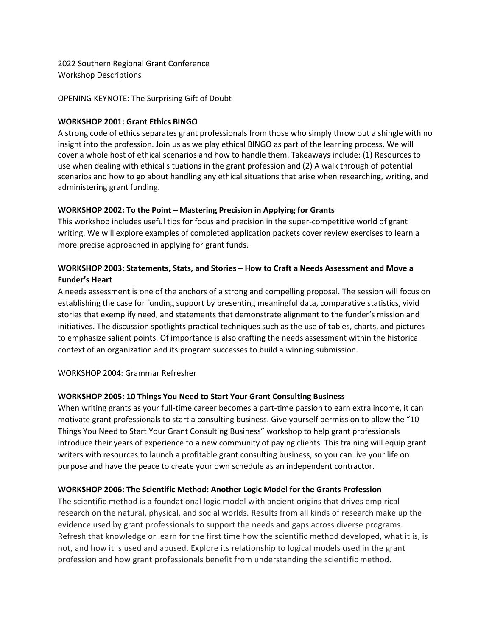2022 Southern Regional Grant Conference Workshop Descriptions

OPENING KEYNOTE: The Surprising Gift of Doubt

#### **WORKSHOP 2001: Grant Ethics BINGO**

A strong code of ethics separates grant professionals from those who simply throw out a shingle with no insight into the profession. Join us as we play ethical BINGO as part of the learning process. We will cover a whole host of ethical scenarios and how to handle them. Takeaways include: (1) Resources to use when dealing with ethical situations in the grant profession and (2) A walk through of potential scenarios and how to go about handling any ethical situations that arise when researching, writing, and administering grant funding.

#### **WORKSHOP 2002: To the Point – Mastering Precision in Applying for Grants**

This workshop includes useful tips for focus and precision in the super-competitive world of grant writing. We will explore examples of completed application packets cover review exercises to learn a more precise approached in applying for grant funds.

# **WORKSHOP 2003: Statements, Stats, and Stories – How to Craft a Needs Assessment and Move a Funder's Heart**

A needs assessment is one of the anchors of a strong and compelling proposal. The session will focus on establishing the case for funding support by presenting meaningful data, comparative statistics, vivid stories that exemplify need, and statements that demonstrate alignment to the funder's mission and initiatives. The discussion spotlights practical techniques such as the use of tables, charts, and pictures to emphasize salient points. Of importance is also crafting the needs assessment within the historical context of an organization and its program successes to build a winning submission.

WORKSHOP 2004: Grammar Refresher

#### **WORKSHOP 2005: 10 Things You Need to Start Your Grant Consulting Business**

When writing grants as your full-time career becomes a part-time passion to earn extra income, it can motivate grant professionals to start a consulting business. Give yourself permission to allow the "10 Things You Need to Start Your Grant Consulting Business" workshop to help grant professionals introduce their years of experience to a new community of paying clients. This training will equip grant writers with resources to launch a profitable grant consulting business, so you can live your life on purpose and have the peace to create your own schedule as an independent contractor.

#### **WORKSHOP 2006: The Scientific Method: Another Logic Model for the Grants Profession**

The scientific method is a foundational logic model with ancient origins that drives empirical research on the natural, physical, and social worlds. Results from all kinds of research make up the evidence used by grant professionals to support the needs and gaps across diverse programs. Refresh that knowledge or learn for the first time how the scientific method developed, what it is, is not, and how it is used and abused. Explore its relationship to logical models used in the grant profession and how grant professionals benefit from understanding the scientific method.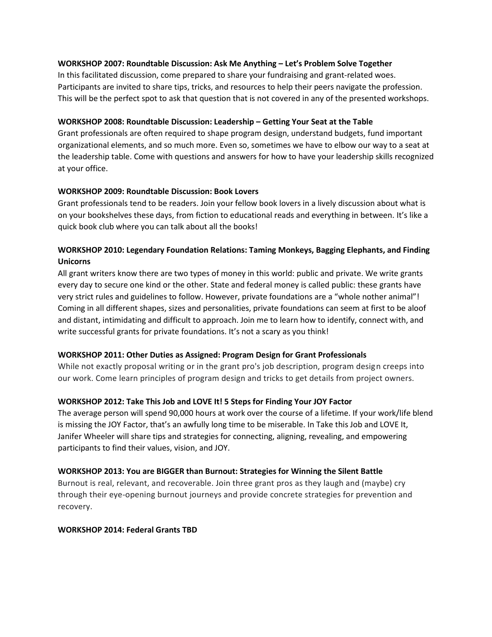### **WORKSHOP 2007: Roundtable Discussion: Ask Me Anything – Let's Problem Solve Together**

In this facilitated discussion, come prepared to share your fundraising and grant-related woes. Participants are invited to share tips, tricks, and resources to help their peers navigate the profession. This will be the perfect spot to ask that question that is not covered in any of the presented workshops.

## **WORKSHOP 2008: Roundtable Discussion: Leadership – Getting Your Seat at the Table**

Grant professionals are often required to shape program design, understand budgets, fund important organizational elements, and so much more. Even so, sometimes we have to elbow our way to a seat at the leadership table. Come with questions and answers for how to have your leadership skills recognized at your office.

## **WORKSHOP 2009: Roundtable Discussion: Book Lovers**

Grant professionals tend to be readers. Join your fellow book lovers in a lively discussion about what is on your bookshelves these days, from fiction to educational reads and everything in between. It's like a quick book club where you can talk about all the books!

# **WORKSHOP 2010: Legendary Foundation Relations: Taming Monkeys, Bagging Elephants, and Finding Unicorns**

All grant writers know there are two types of money in this world: public and private. We write grants every day to secure one kind or the other. State and federal money is called public: these grants have very strict rules and guidelines to follow. However, private foundations are a "whole nother animal"! Coming in all different shapes, sizes and personalities, private foundations can seem at first to be aloof and distant, intimidating and difficult to approach. Join me to learn how to identify, connect with, and write successful grants for private foundations. It's not a scary as you think!

#### **WORKSHOP 2011: Other Duties as Assigned: Program Design for Grant Professionals**

While not exactly proposal writing or in the grant pro's job description, program design creeps into our work. Come learn principles of program design and tricks to get details from project owners.

#### **WORKSHOP 2012: Take This Job and LOVE It! 5 Steps for Finding Your JOY Factor**

The average person will spend 90,000 hours at work over the course of a lifetime. If your work/life blend is missing the JOY Factor, that's an awfully long time to be miserable. In Take this Job and LOVE It, Janifer Wheeler will share tips and strategies for connecting, aligning, revealing, and empowering participants to find their values, vision, and JOY.

#### **WORKSHOP 2013: You are BIGGER than Burnout: Strategies for Winning the Silent Battle**

Burnout is real, relevant, and recoverable. Join three grant pros as they laugh and (maybe) cry through their eye-opening burnout journeys and provide concrete strategies for prevention and recovery.

#### **WORKSHOP 2014: Federal Grants TBD**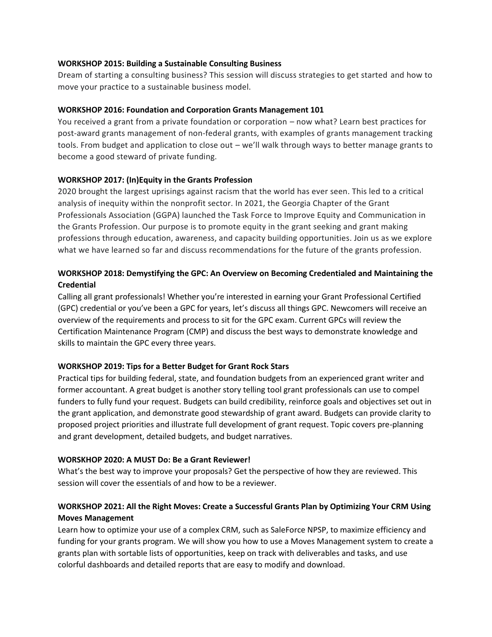#### **WORKSHOP 2015: Building a Sustainable Consulting Business**

Dream of starting a consulting business? This session will discuss strategies to get started and how to move your practice to a sustainable business model.

#### **WORKSHOP 2016: Foundation and Corporation Grants Management 101**

You received a grant from a private foundation or corporation – now what? Learn best practices for post-award grants management of non-federal grants, with examples of grants management tracking tools. From budget and application to close out – we'll walk through ways to better manage grants to become a good steward of private funding.

#### **WORKSHOP 2017: (In)Equity in the Grants Profession**

2020 brought the largest uprisings against racism that the world has ever seen. This led to a critical analysis of inequity within the nonprofit sector. In 2021, the Georgia Chapter of the Grant Professionals Association (GGPA) launched the Task Force to Improve Equity and Communication in the Grants Profession. Our purpose is to promote equity in the grant seeking and grant making professions through education, awareness, and capacity building opportunities. Join us as we explore what we have learned so far and discuss recommendations for the future of the grants profession.

# **WORKSHOP 2018: Demystifying the GPC: An Overview on Becoming Credentialed and Maintaining the Credential**

Calling all grant professionals! Whether you're interested in earning your Grant Professional Certified (GPC) credential or you've been a GPC for years, let's discuss all things GPC. Newcomers will receive an overview of the requirements and process to sit for the GPC exam. Current GPCs will review the Certification Maintenance Program (CMP) and discuss the best ways to demonstrate knowledge and skills to maintain the GPC every three years.

#### **WORKSHOP 2019: Tips for a Better Budget for Grant Rock Stars**

Practical tips for building federal, state, and foundation budgets from an experienced grant writer and former accountant. A great budget is another story telling tool grant professionals can use to compel funders to fully fund your request. Budgets can build credibility, reinforce goals and objectives set out in the grant application, and demonstrate good stewardship of grant award. Budgets can provide clarity to proposed project priorities and illustrate full development of grant request. Topic covers pre-planning and grant development, detailed budgets, and budget narratives.

## **WORSKHOP 2020: A MUST Do: Be a Grant Reviewer!**

What's the best way to improve your proposals? Get the perspective of how they are reviewed. This session will cover the essentials of and how to be a reviewer.

# **WORKSHOP 2021: All the Right Moves: Create a Successful Grants Plan by Optimizing Your CRM Using Moves Management**

Learn how to optimize your use of a complex CRM, such as SaleForce NPSP, to maximize efficiency and funding for your grants program. We will show you how to use a Moves Management system to create a grants plan with sortable lists of opportunities, keep on track with deliverables and tasks, and use colorful dashboards and detailed reports that are easy to modify and download.